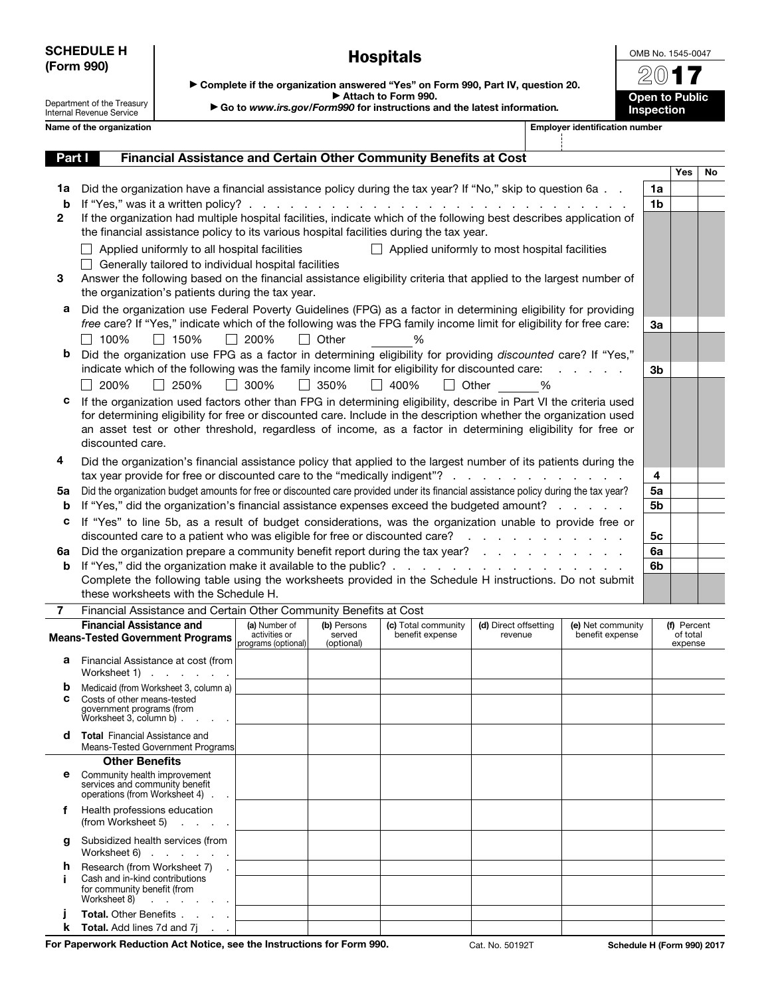|            | <b>SCHEDULE H</b> |
|------------|-------------------|
| (Form 990) |                   |

Hospitals

OMB No. 1545-0047 2017

> Open to Public **Inspection**

Department of the Treasury Internal Revenue Service

| $\blacktriangleright$ Complete if the organization answered "Yes" on Form 990, Part IV, question 20. |  |  |  |  |  |
|------------------------------------------------------------------------------------------------------|--|--|--|--|--|
| Attach to Form 990.                                                                                  |  |  |  |  |  |
| التقارب المستحدث والمتحدث والمتحدث المستحدث المستحدث والمستحدث والمستحدث والمستحدث والمستحدث         |  |  |  |  |  |

▶ Go to *www.irs.gov/Form990* for instructions and the latest information*.*

|              | Name of the organization                                                                                                                                                                                                                                                                                                                                                 |               |                                     |                                                      |                                  | <b>Employer identification number</b> |    |                                    |    |
|--------------|--------------------------------------------------------------------------------------------------------------------------------------------------------------------------------------------------------------------------------------------------------------------------------------------------------------------------------------------------------------------------|---------------|-------------------------------------|------------------------------------------------------|----------------------------------|---------------------------------------|----|------------------------------------|----|
| Part I       | Financial Assistance and Certain Other Community Benefits at Cost                                                                                                                                                                                                                                                                                                        |               |                                     |                                                      |                                  |                                       |    |                                    |    |
|              |                                                                                                                                                                                                                                                                                                                                                                          |               |                                     |                                                      |                                  |                                       |    | Yes                                | No |
| 1a           | Did the organization have a financial assistance policy during the tax year? If "No," skip to question 6a                                                                                                                                                                                                                                                                |               |                                     |                                                      |                                  |                                       | 1a |                                    |    |
| b            |                                                                                                                                                                                                                                                                                                                                                                          |               |                                     |                                                      |                                  |                                       | 1b |                                    |    |
| $\mathbf{2}$ | If the organization had multiple hospital facilities, indicate which of the following best describes application of<br>the financial assistance policy to its various hospital facilities during the tax year.                                                                                                                                                           |               |                                     |                                                      |                                  |                                       |    |                                    |    |
|              | Applied uniformly to all hospital facilities<br>Generally tailored to individual hospital facilities                                                                                                                                                                                                                                                                     |               |                                     | $\Box$ Applied uniformly to most hospital facilities |                                  |                                       |    |                                    |    |
| 3            | Answer the following based on the financial assistance eligibility criteria that applied to the largest number of<br>the organization's patients during the tax year.                                                                                                                                                                                                    |               |                                     |                                                      |                                  |                                       |    |                                    |    |
| а            | Did the organization use Federal Poverty Guidelines (FPG) as a factor in determining eligibility for providing                                                                                                                                                                                                                                                           |               |                                     |                                                      |                                  |                                       |    |                                    |    |
|              | free care? If "Yes," indicate which of the following was the FPG family income limit for eligibility for free care:                                                                                                                                                                                                                                                      |               |                                     |                                                      |                                  |                                       | За |                                    |    |
|              | $\Box$ 150%<br>100%                                                                                                                                                                                                                                                                                                                                                      | $\Box$ 200%   | $\Box$ Other                        | ℅                                                    |                                  |                                       |    |                                    |    |
| b            | Did the organization use FPG as a factor in determining eligibility for providing discounted care? If "Yes,"                                                                                                                                                                                                                                                             |               |                                     |                                                      |                                  |                                       |    |                                    |    |
|              | indicate which of the following was the family income limit for eligibility for discounted care:                                                                                                                                                                                                                                                                         |               |                                     |                                                      |                                  | and a state of                        | 3b |                                    |    |
|              | 200%<br>$\Box$ 250%                                                                                                                                                                                                                                                                                                                                                      | □ 300%        | $\Box$ 350%                         | $\Box$ 400%                                          | Other %                          |                                       |    |                                    |    |
| с            | If the organization used factors other than FPG in determining eligibility, describe in Part VI the criteria used<br>for determining eligibility for free or discounted care. Include in the description whether the organization used<br>an asset test or other threshold, regardless of income, as a factor in determining eligibility for free or<br>discounted care. |               |                                     |                                                      |                                  |                                       |    |                                    |    |
| 4            | Did the organization's financial assistance policy that applied to the largest number of its patients during the                                                                                                                                                                                                                                                         |               |                                     |                                                      |                                  |                                       |    |                                    |    |
|              | tax year provide for free or discounted care to the "medically indigent"?                                                                                                                                                                                                                                                                                                |               |                                     |                                                      |                                  |                                       | 4  |                                    |    |
| 5a           | Did the organization budget amounts for free or discounted care provided under its financial assistance policy during the tax year?                                                                                                                                                                                                                                      |               |                                     |                                                      |                                  |                                       | 5a |                                    |    |
| b            | If "Yes," did the organization's financial assistance expenses exceed the budgeted amount?                                                                                                                                                                                                                                                                               |               |                                     |                                                      |                                  |                                       | 5b |                                    |    |
| c            | If "Yes" to line 5b, as a result of budget considerations, was the organization unable to provide free or<br>discounted care to a patient who was eligible for free or discounted care?                                                                                                                                                                                  |               |                                     |                                                      |                                  |                                       | 5с |                                    |    |
| 6a           | Did the organization prepare a community benefit report during the tax year?                                                                                                                                                                                                                                                                                             |               |                                     |                                                      |                                  |                                       | 6a |                                    |    |
| b            |                                                                                                                                                                                                                                                                                                                                                                          |               |                                     |                                                      |                                  |                                       | 6b |                                    |    |
|              | Complete the following table using the worksheets provided in the Schedule H instructions. Do not submit<br>these worksheets with the Schedule H.                                                                                                                                                                                                                        |               |                                     |                                                      |                                  |                                       |    |                                    |    |
| $\mathbf{7}$ | Financial Assistance and Certain Other Community Benefits at Cost                                                                                                                                                                                                                                                                                                        |               |                                     |                                                      |                                  |                                       |    |                                    |    |
|              | <b>Financial Assistance and</b><br><b>Means-Tested Government Programs</b>   activities or                                                                                                                                                                                                                                                                               | (a) Number of | (b) Persons<br>served<br>(optional) | (c) Total community<br>benefit expense               | (d) Direct offsetting<br>revenue | (e) Net community<br>benefit expense  |    | (f) Percent<br>of total<br>expense |    |
|              | <b>a</b> Financial Assistance at cost (from<br>Worksheet 1) $\ldots$ $\ldots$                                                                                                                                                                                                                                                                                            |               |                                     |                                                      |                                  |                                       |    |                                    |    |

|   | Worksheet 1)                                                                                     |  |  |  |
|---|--------------------------------------------------------------------------------------------------|--|--|--|
| b | Medicaid (from Worksheet 3, column a)                                                            |  |  |  |
| С | Costs of other means-tested<br>government programs (from<br>Worksheet 3, column b) $\ldots$      |  |  |  |
| d | <b>Total</b> Financial Assistance and<br>Means-Tested Government Programs                        |  |  |  |
|   | <b>Other Benefits</b>                                                                            |  |  |  |
| е | Community health improvement<br>services and community benefit<br>operations (from Worksheet 4). |  |  |  |
|   | Health professions education<br>$(from Worksheet 5)$                                             |  |  |  |
| a | Subsidized health services (from<br>Worksheet $6$ $\ldots$ $\ldots$                              |  |  |  |
| h | Research (from Worksheet 7)<br>$\sim$                                                            |  |  |  |
|   | Cash and in-kind contributions<br>for community benefit (from<br>Worksheet 8)                    |  |  |  |
|   | Total. Other Benefits                                                                            |  |  |  |
| ĸ | <b>Total.</b> Add lines 7d and 7j                                                                |  |  |  |

For Paperwork Reduction Act Notice, see the Instructions for Form 990. Cat. No. 50192T Schedule H (Form 990) 2017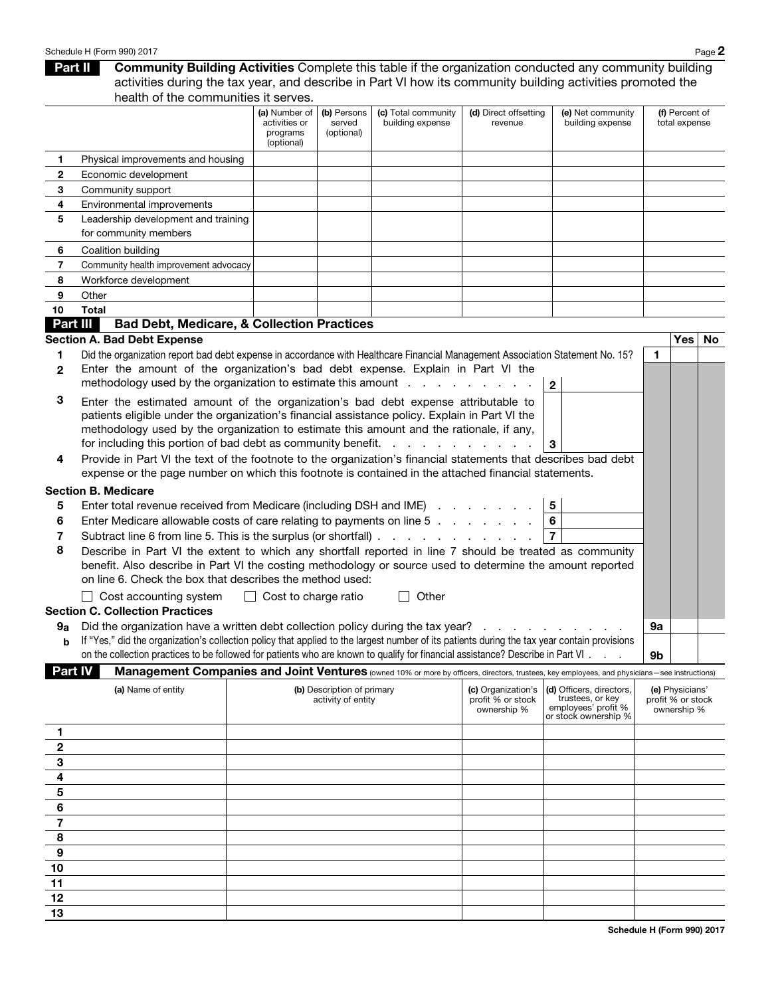#### Schedule H (Form 990) 2017 Page 2

Part II Community Building Activities Complete this table if the organization conducted any community building activities during the tax year, and describe in Part VI how its community building activities promoted the health of the communities it serves.

|                        |                                                                                                                                                                                                                                                                                                                                                                                                                                                                                                                                                                                                                                                                                                                                                                                                                           | (a) Number of<br>activities or<br>programs<br>(optional) | (b) Persons<br>served<br>(optional)              | (c) Total community<br>building expense | (d) Direct offsetting<br>revenue                       | (e) Net community<br>building expense                                                       | (f) Percent of<br>total expense |                                                     |  |
|------------------------|---------------------------------------------------------------------------------------------------------------------------------------------------------------------------------------------------------------------------------------------------------------------------------------------------------------------------------------------------------------------------------------------------------------------------------------------------------------------------------------------------------------------------------------------------------------------------------------------------------------------------------------------------------------------------------------------------------------------------------------------------------------------------------------------------------------------------|----------------------------------------------------------|--------------------------------------------------|-----------------------------------------|--------------------------------------------------------|---------------------------------------------------------------------------------------------|---------------------------------|-----------------------------------------------------|--|
| 1.                     | Physical improvements and housing                                                                                                                                                                                                                                                                                                                                                                                                                                                                                                                                                                                                                                                                                                                                                                                         |                                                          |                                                  |                                         |                                                        |                                                                                             |                                 |                                                     |  |
| 2                      | Economic development                                                                                                                                                                                                                                                                                                                                                                                                                                                                                                                                                                                                                                                                                                                                                                                                      |                                                          |                                                  |                                         |                                                        |                                                                                             |                                 |                                                     |  |
| 3                      | Community support                                                                                                                                                                                                                                                                                                                                                                                                                                                                                                                                                                                                                                                                                                                                                                                                         |                                                          |                                                  |                                         |                                                        |                                                                                             |                                 |                                                     |  |
| 4                      | Environmental improvements                                                                                                                                                                                                                                                                                                                                                                                                                                                                                                                                                                                                                                                                                                                                                                                                |                                                          |                                                  |                                         |                                                        |                                                                                             |                                 |                                                     |  |
| 5                      | Leadership development and training                                                                                                                                                                                                                                                                                                                                                                                                                                                                                                                                                                                                                                                                                                                                                                                       |                                                          |                                                  |                                         |                                                        |                                                                                             |                                 |                                                     |  |
|                        | for community members                                                                                                                                                                                                                                                                                                                                                                                                                                                                                                                                                                                                                                                                                                                                                                                                     |                                                          |                                                  |                                         |                                                        |                                                                                             |                                 |                                                     |  |
| 6                      | Coalition building                                                                                                                                                                                                                                                                                                                                                                                                                                                                                                                                                                                                                                                                                                                                                                                                        |                                                          |                                                  |                                         |                                                        |                                                                                             |                                 |                                                     |  |
| 7                      | Community health improvement advocacy                                                                                                                                                                                                                                                                                                                                                                                                                                                                                                                                                                                                                                                                                                                                                                                     |                                                          |                                                  |                                         |                                                        |                                                                                             |                                 |                                                     |  |
| 8                      | Workforce development                                                                                                                                                                                                                                                                                                                                                                                                                                                                                                                                                                                                                                                                                                                                                                                                     |                                                          |                                                  |                                         |                                                        |                                                                                             |                                 |                                                     |  |
| 9                      | Other                                                                                                                                                                                                                                                                                                                                                                                                                                                                                                                                                                                                                                                                                                                                                                                                                     |                                                          |                                                  |                                         |                                                        |                                                                                             |                                 |                                                     |  |
| 10                     | <b>Total</b>                                                                                                                                                                                                                                                                                                                                                                                                                                                                                                                                                                                                                                                                                                                                                                                                              |                                                          |                                                  |                                         |                                                        |                                                                                             |                                 |                                                     |  |
|                        | Part III<br><b>Bad Debt, Medicare, &amp; Collection Practices</b>                                                                                                                                                                                                                                                                                                                                                                                                                                                                                                                                                                                                                                                                                                                                                         |                                                          |                                                  |                                         |                                                        |                                                                                             |                                 |                                                     |  |
|                        | <b>Section A. Bad Debt Expense</b>                                                                                                                                                                                                                                                                                                                                                                                                                                                                                                                                                                                                                                                                                                                                                                                        |                                                          |                                                  |                                         |                                                        |                                                                                             |                                 | Yes   No                                            |  |
| 1                      | Did the organization report bad debt expense in accordance with Healthcare Financial Management Association Statement No. 15?                                                                                                                                                                                                                                                                                                                                                                                                                                                                                                                                                                                                                                                                                             |                                                          |                                                  |                                         |                                                        |                                                                                             | 1                               |                                                     |  |
| 2                      | Enter the amount of the organization's bad debt expense. Explain in Part VI the                                                                                                                                                                                                                                                                                                                                                                                                                                                                                                                                                                                                                                                                                                                                           |                                                          |                                                  |                                         |                                                        |                                                                                             |                                 |                                                     |  |
|                        | methodology used by the organization to estimate this amount                                                                                                                                                                                                                                                                                                                                                                                                                                                                                                                                                                                                                                                                                                                                                              |                                                          |                                                  |                                         |                                                        | $\mathbf{2}$                                                                                |                                 |                                                     |  |
| З                      | Enter the estimated amount of the organization's bad debt expense attributable to<br>patients eligible under the organization's financial assistance policy. Explain in Part VI the<br>methodology used by the organization to estimate this amount and the rationale, if any,<br>for including this portion of bad debt as community benefit.                                                                                                                                                                                                                                                                                                                                                                                                                                                                            |                                                          |                                                  | and the contract of the contract of     |                                                        | 3                                                                                           |                                 |                                                     |  |
| 4                      | Provide in Part VI the text of the footnote to the organization's financial statements that describes bad debt<br>expense or the page number on which this footnote is contained in the attached financial statements.                                                                                                                                                                                                                                                                                                                                                                                                                                                                                                                                                                                                    |                                                          |                                                  |                                         |                                                        |                                                                                             |                                 |                                                     |  |
| 5<br>6<br>7<br>8<br>9а | <b>Section B. Medicare</b><br>5<br>Enter total revenue received from Medicare (including DSH and IME)<br>6<br>Enter Medicare allowable costs of care relating to payments on line 5<br>$\overline{7}$<br>Subtract line 6 from line 5. This is the surplus (or shortfall)<br>Describe in Part VI the extent to which any shortfall reported in line 7 should be treated as community<br>benefit. Also describe in Part VI the costing methodology or source used to determine the amount reported<br>on line 6. Check the box that describes the method used:<br>$\Box$ Cost accounting system<br>$\Box$ Cost to charge ratio<br>Other<br>$\mathbf{L}$<br><b>Section C. Collection Practices</b><br>Did the organization have a written debt collection policy during the tax year?<br>9а<br>$\mathbf{r}$ and $\mathbf{r}$ |                                                          |                                                  |                                         |                                                        |                                                                                             |                                 |                                                     |  |
| $\mathbf b$            | If "Yes," did the organization's collection policy that applied to the largest number of its patients during the tax year contain provisions<br>on the collection practices to be followed for patients who are known to qualify for financial assistance? Describe in Part VI                                                                                                                                                                                                                                                                                                                                                                                                                                                                                                                                            |                                                          |                                                  |                                         |                                                        |                                                                                             | 9b                              |                                                     |  |
| Part IV                | Management Companies and Joint Ventures (owned 10% or more by officers, directors, trustees, key employees, and physicians-see instructions)                                                                                                                                                                                                                                                                                                                                                                                                                                                                                                                                                                                                                                                                              |                                                          |                                                  |                                         |                                                        |                                                                                             |                                 |                                                     |  |
|                        | (a) Name of entity                                                                                                                                                                                                                                                                                                                                                                                                                                                                                                                                                                                                                                                                                                                                                                                                        |                                                          | (b) Description of primary<br>activity of entity |                                         | (c) Organization's<br>profit % or stock<br>ownership % | (d) Officers, directors,<br>trustees, or key<br>employees' profit %<br>or stock ownership % |                                 | (e) Physicians'<br>profit % or stock<br>ownership % |  |
| 1                      |                                                                                                                                                                                                                                                                                                                                                                                                                                                                                                                                                                                                                                                                                                                                                                                                                           |                                                          |                                                  |                                         |                                                        |                                                                                             |                                 |                                                     |  |
| 2                      |                                                                                                                                                                                                                                                                                                                                                                                                                                                                                                                                                                                                                                                                                                                                                                                                                           |                                                          |                                                  |                                         |                                                        |                                                                                             |                                 |                                                     |  |
| 3                      |                                                                                                                                                                                                                                                                                                                                                                                                                                                                                                                                                                                                                                                                                                                                                                                                                           |                                                          |                                                  |                                         |                                                        |                                                                                             |                                 |                                                     |  |
| 4                      |                                                                                                                                                                                                                                                                                                                                                                                                                                                                                                                                                                                                                                                                                                                                                                                                                           |                                                          |                                                  |                                         |                                                        |                                                                                             |                                 |                                                     |  |
| 5                      |                                                                                                                                                                                                                                                                                                                                                                                                                                                                                                                                                                                                                                                                                                                                                                                                                           |                                                          |                                                  |                                         |                                                        |                                                                                             |                                 |                                                     |  |
| $\bf 6$                |                                                                                                                                                                                                                                                                                                                                                                                                                                                                                                                                                                                                                                                                                                                                                                                                                           |                                                          |                                                  |                                         |                                                        |                                                                                             |                                 |                                                     |  |
| $\bf 7$                |                                                                                                                                                                                                                                                                                                                                                                                                                                                                                                                                                                                                                                                                                                                                                                                                                           |                                                          |                                                  |                                         |                                                        |                                                                                             |                                 |                                                     |  |
| 8                      |                                                                                                                                                                                                                                                                                                                                                                                                                                                                                                                                                                                                                                                                                                                                                                                                                           |                                                          |                                                  |                                         |                                                        |                                                                                             |                                 |                                                     |  |
| 9                      |                                                                                                                                                                                                                                                                                                                                                                                                                                                                                                                                                                                                                                                                                                                                                                                                                           |                                                          |                                                  |                                         |                                                        |                                                                                             |                                 |                                                     |  |
| 10                     |                                                                                                                                                                                                                                                                                                                                                                                                                                                                                                                                                                                                                                                                                                                                                                                                                           |                                                          |                                                  |                                         |                                                        |                                                                                             |                                 |                                                     |  |
| 11                     |                                                                                                                                                                                                                                                                                                                                                                                                                                                                                                                                                                                                                                                                                                                                                                                                                           |                                                          |                                                  |                                         |                                                        |                                                                                             |                                 |                                                     |  |
| 12                     |                                                                                                                                                                                                                                                                                                                                                                                                                                                                                                                                                                                                                                                                                                                                                                                                                           |                                                          |                                                  |                                         |                                                        |                                                                                             |                                 |                                                     |  |
| 13                     |                                                                                                                                                                                                                                                                                                                                                                                                                                                                                                                                                                                                                                                                                                                                                                                                                           |                                                          |                                                  |                                         |                                                        |                                                                                             |                                 |                                                     |  |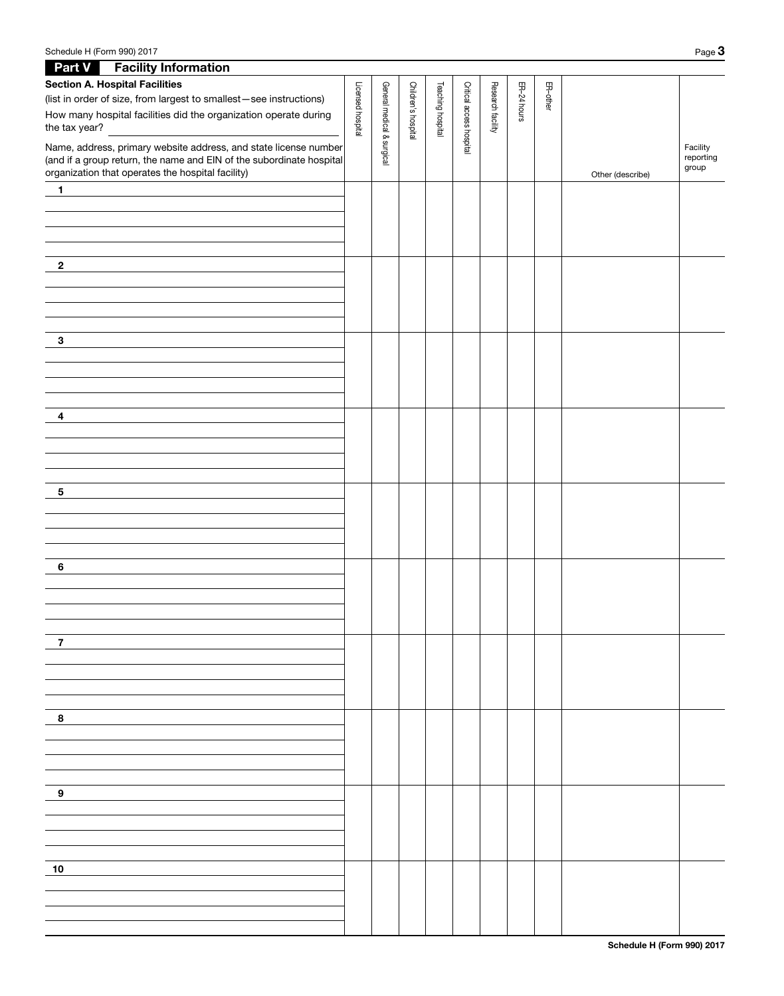| <b>Part V</b> Facility Information                                   |                   |                            |                     |                   |                          |                   |             |          |                  |                    |
|----------------------------------------------------------------------|-------------------|----------------------------|---------------------|-------------------|--------------------------|-------------------|-------------|----------|------------------|--------------------|
| <b>Section A. Hospital Facilities</b>                                |                   |                            |                     |                   |                          |                   |             |          |                  |                    |
| (list in order of size, from largest to smallest-see instructions)   |                   |                            |                     |                   |                          |                   | ER-24 hours | ER-other |                  |                    |
| How many hospital facilities did the organization operate during     | Licensed hospital |                            |                     | Teaching hospital |                          | Research facility |             |          |                  |                    |
| the tax year?                                                        |                   |                            | Children's hospital |                   | Critical access hospital |                   |             |          |                  |                    |
| Name, address, primary website address, and state license number     |                   | General medical & surgical |                     |                   |                          |                   |             |          |                  | Facility           |
| (and if a group return, the name and EIN of the subordinate hospital |                   |                            |                     |                   |                          |                   |             |          |                  | reporting<br>group |
| organization that operates the hospital facility)                    |                   |                            |                     |                   |                          |                   |             |          | Other (describe) |                    |
| $\mathbf{1}$<br><u> 1989 - Andrea Andrew Maria (h. 1989).</u>        |                   |                            |                     |                   |                          |                   |             |          |                  |                    |
|                                                                      |                   |                            |                     |                   |                          |                   |             |          |                  |                    |
|                                                                      |                   |                            |                     |                   |                          |                   |             |          |                  |                    |
|                                                                      |                   |                            |                     |                   |                          |                   |             |          |                  |                    |
|                                                                      |                   |                            |                     |                   |                          |                   |             |          |                  |                    |
| $\mathbf{2}$                                                         |                   |                            |                     |                   |                          |                   |             |          |                  |                    |
|                                                                      |                   |                            |                     |                   |                          |                   |             |          |                  |                    |
|                                                                      |                   |                            |                     |                   |                          |                   |             |          |                  |                    |
|                                                                      |                   |                            |                     |                   |                          |                   |             |          |                  |                    |
|                                                                      |                   |                            |                     |                   |                          |                   |             |          |                  |                    |
| $\mathbf{3}$                                                         |                   |                            |                     |                   |                          |                   |             |          |                  |                    |
|                                                                      |                   |                            |                     |                   |                          |                   |             |          |                  |                    |
|                                                                      |                   |                            |                     |                   |                          |                   |             |          |                  |                    |
|                                                                      |                   |                            |                     |                   |                          |                   |             |          |                  |                    |
| $\overline{4}$                                                       |                   |                            |                     |                   |                          |                   |             |          |                  |                    |
|                                                                      |                   |                            |                     |                   |                          |                   |             |          |                  |                    |
|                                                                      |                   |                            |                     |                   |                          |                   |             |          |                  |                    |
|                                                                      |                   |                            |                     |                   |                          |                   |             |          |                  |                    |
|                                                                      |                   |                            |                     |                   |                          |                   |             |          |                  |                    |
| $5\phantom{.0}$                                                      |                   |                            |                     |                   |                          |                   |             |          |                  |                    |
|                                                                      |                   |                            |                     |                   |                          |                   |             |          |                  |                    |
|                                                                      |                   |                            |                     |                   |                          |                   |             |          |                  |                    |
|                                                                      |                   |                            |                     |                   |                          |                   |             |          |                  |                    |
|                                                                      |                   |                            |                     |                   |                          |                   |             |          |                  |                    |
| 6                                                                    |                   |                            |                     |                   |                          |                   |             |          |                  |                    |
|                                                                      |                   |                            |                     |                   |                          |                   |             |          |                  |                    |
|                                                                      |                   |                            |                     |                   |                          |                   |             |          |                  |                    |
|                                                                      |                   |                            |                     |                   |                          |                   |             |          |                  |                    |
|                                                                      |                   |                            |                     |                   |                          |                   |             |          |                  |                    |
| 7                                                                    |                   |                            |                     |                   |                          |                   |             |          |                  |                    |
|                                                                      |                   |                            |                     |                   |                          |                   |             |          |                  |                    |
|                                                                      |                   |                            |                     |                   |                          |                   |             |          |                  |                    |
|                                                                      |                   |                            |                     |                   |                          |                   |             |          |                  |                    |
|                                                                      |                   |                            |                     |                   |                          |                   |             |          |                  |                    |
| 8                                                                    |                   |                            |                     |                   |                          |                   |             |          |                  |                    |
|                                                                      |                   |                            |                     |                   |                          |                   |             |          |                  |                    |
|                                                                      |                   |                            |                     |                   |                          |                   |             |          |                  |                    |
|                                                                      |                   |                            |                     |                   |                          |                   |             |          |                  |                    |
|                                                                      |                   |                            |                     |                   |                          |                   |             |          |                  |                    |
| 9                                                                    |                   |                            |                     |                   |                          |                   |             |          |                  |                    |
|                                                                      |                   |                            |                     |                   |                          |                   |             |          |                  |                    |
|                                                                      |                   |                            |                     |                   |                          |                   |             |          |                  |                    |
|                                                                      |                   |                            |                     |                   |                          |                   |             |          |                  |                    |
|                                                                      |                   |                            |                     |                   |                          |                   |             |          |                  |                    |
| 10                                                                   |                   |                            |                     |                   |                          |                   |             |          |                  |                    |
|                                                                      |                   |                            |                     |                   |                          |                   |             |          |                  |                    |
|                                                                      |                   |                            |                     |                   |                          |                   |             |          |                  |                    |
|                                                                      |                   |                            |                     |                   |                          |                   |             |          |                  |                    |
|                                                                      |                   |                            |                     |                   |                          |                   |             |          |                  |                    |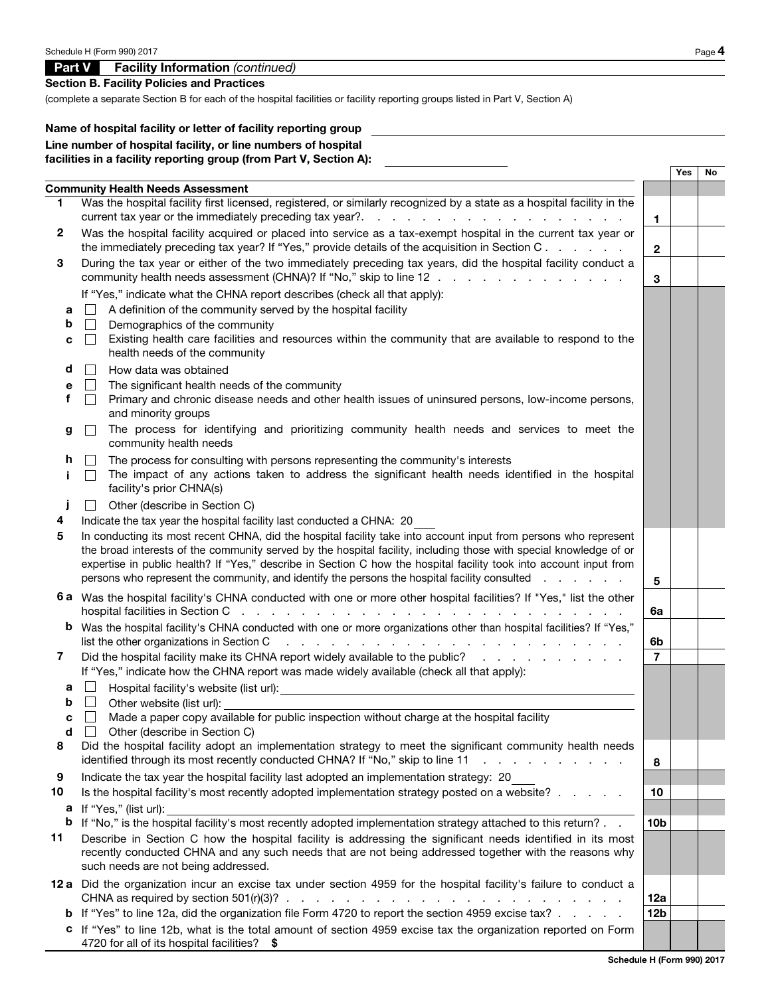# Part V Facility Information *(continued)*

Section B. Facility Policies and Practices

(complete a separate Section B for each of the hospital facilities or facility reporting groups listed in Part V, Section A)

### Name of hospital facility or letter of facility reporting group Line number of hospital facility, or line numbers of hospital facilities in a facility reporting group (from Part V, Section A):

|                       |                                                                                                                                                                                                                                                                                                                                                                                                                                                                                                                                        |                 | <b>Yes</b> | No |  |  |
|-----------------------|----------------------------------------------------------------------------------------------------------------------------------------------------------------------------------------------------------------------------------------------------------------------------------------------------------------------------------------------------------------------------------------------------------------------------------------------------------------------------------------------------------------------------------------|-----------------|------------|----|--|--|
|                       | <b>Community Health Needs Assessment</b>                                                                                                                                                                                                                                                                                                                                                                                                                                                                                               |                 |            |    |  |  |
| 1                     | Was the hospital facility first licensed, registered, or similarly recognized by a state as a hospital facility in the                                                                                                                                                                                                                                                                                                                                                                                                                 | 1.              |            |    |  |  |
| $\mathbf{2}$          | Was the hospital facility acquired or placed into service as a tax-exempt hospital in the current tax year or<br>the immediately preceding tax year? If "Yes," provide details of the acquisition in Section C.                                                                                                                                                                                                                                                                                                                        | $\mathbf{2}$    |            |    |  |  |
| 3                     | During the tax year or either of the two immediately preceding tax years, did the hospital facility conduct a<br>community health needs assessment (CHNA)? If "No," skip to line 12                                                                                                                                                                                                                                                                                                                                                    |                 |            |    |  |  |
| а<br>b<br>с<br>d<br>е | If "Yes," indicate what the CHNA report describes (check all that apply):<br>A definition of the community served by the hospital facility<br>Demographics of the community<br>Existing health care facilities and resources within the community that are available to respond to the<br>$\blacksquare$<br>health needs of the community<br>How data was obtained<br>The significant health needs of the community                                                                                                                    |                 |            |    |  |  |
| f<br>g                | Primary and chronic disease needs and other health issues of uninsured persons, low-income persons,<br>and minority groups<br>The process for identifying and prioritizing community health needs and services to meet the<br>community health needs                                                                                                                                                                                                                                                                                   |                 |            |    |  |  |
| h<br>Ť                | The process for consulting with persons representing the community's interests<br>The impact of any actions taken to address the significant health needs identified in the hospital<br>facility's prior CHNA(s)                                                                                                                                                                                                                                                                                                                       |                 |            |    |  |  |
|                       | Other (describe in Section C)                                                                                                                                                                                                                                                                                                                                                                                                                                                                                                          |                 |            |    |  |  |
| 4<br>5                | Indicate the tax year the hospital facility last conducted a CHNA: 20<br>In conducting its most recent CHNA, did the hospital facility take into account input from persons who represent<br>the broad interests of the community served by the hospital facility, including those with special knowledge of or<br>expertise in public health? If "Yes," describe in Section C how the hospital facility took into account input from<br>persons who represent the community, and identify the persons the hospital facility consulted | 5               |            |    |  |  |
|                       | 6 a Was the hospital facility's CHNA conducted with one or more other hospital facilities? If "Yes," list the other                                                                                                                                                                                                                                                                                                                                                                                                                    | 6a              |            |    |  |  |
|                       | b Was the hospital facility's CHNA conducted with one or more organizations other than hospital facilities? If "Yes,"<br>list the other organizations in Section C<br>المتابعة والمتابعة المتابعة المتابعة المتابعة المتابعة المتابعة المتابعة المتابعة المتابعة المتابعة المتابعة                                                                                                                                                                                                                                                     | 6b              |            |    |  |  |
| 7                     | Did the hospital facility make its CHNA report widely available to the public?<br>If "Yes," indicate how the CHNA report was made widely available (check all that apply):                                                                                                                                                                                                                                                                                                                                                             | $\overline{7}$  |            |    |  |  |
| a<br>b                | ப<br>Other website (list url):                                                                                                                                                                                                                                                                                                                                                                                                                                                                                                         |                 |            |    |  |  |
| с<br>d                | Made a paper copy available for public inspection without charge at the hospital facility<br>$\Box$<br>□ Other (describe in Section C)                                                                                                                                                                                                                                                                                                                                                                                                 |                 |            |    |  |  |
| 8                     | Did the hospital facility adopt an implementation strategy to meet the significant community health needs<br>identified through its most recently conducted CHNA? If "No," skip to line 11<br>and a straightful contract and a                                                                                                                                                                                                                                                                                                         | 8               |            |    |  |  |
| 9                     | Indicate the tax year the hospital facility last adopted an implementation strategy: 20                                                                                                                                                                                                                                                                                                                                                                                                                                                |                 |            |    |  |  |
| 10                    | Is the hospital facility's most recently adopted implementation strategy posted on a website? $\ldots$                                                                                                                                                                                                                                                                                                                                                                                                                                 | 10              |            |    |  |  |
| а<br>b                | If "Yes," (list url):<br>If "No," is the hospital facility's most recently adopted implementation strategy attached to this return?                                                                                                                                                                                                                                                                                                                                                                                                    | 10 <sub>b</sub> |            |    |  |  |
| 11                    | Describe in Section C how the hospital facility is addressing the significant needs identified in its most<br>recently conducted CHNA and any such needs that are not being addressed together with the reasons why<br>such needs are not being addressed.                                                                                                                                                                                                                                                                             |                 |            |    |  |  |
|                       | 12 a Did the organization incur an excise tax under section 4959 for the hospital facility's failure to conduct a<br>CHNA as required by section 501(r)(3)? $\therefore$ $\therefore$ $\therefore$ $\therefore$ $\therefore$ $\therefore$ $\therefore$ $\therefore$ $\therefore$ $\therefore$ $\therefore$ $\therefore$                                                                                                                                                                                                                | 12a             |            |    |  |  |
|                       | <b>b</b> If "Yes" to line 12a, did the organization file Form 4720 to report the section 4959 excise tax? $\therefore$ $\therefore$                                                                                                                                                                                                                                                                                                                                                                                                    | 12 <sub>b</sub> |            |    |  |  |
|                       | c If "Yes" to line 12b, what is the total amount of section 4959 excise tax the organization reported on Form<br>4720 for all of its hospital facilities? \$                                                                                                                                                                                                                                                                                                                                                                           |                 |            |    |  |  |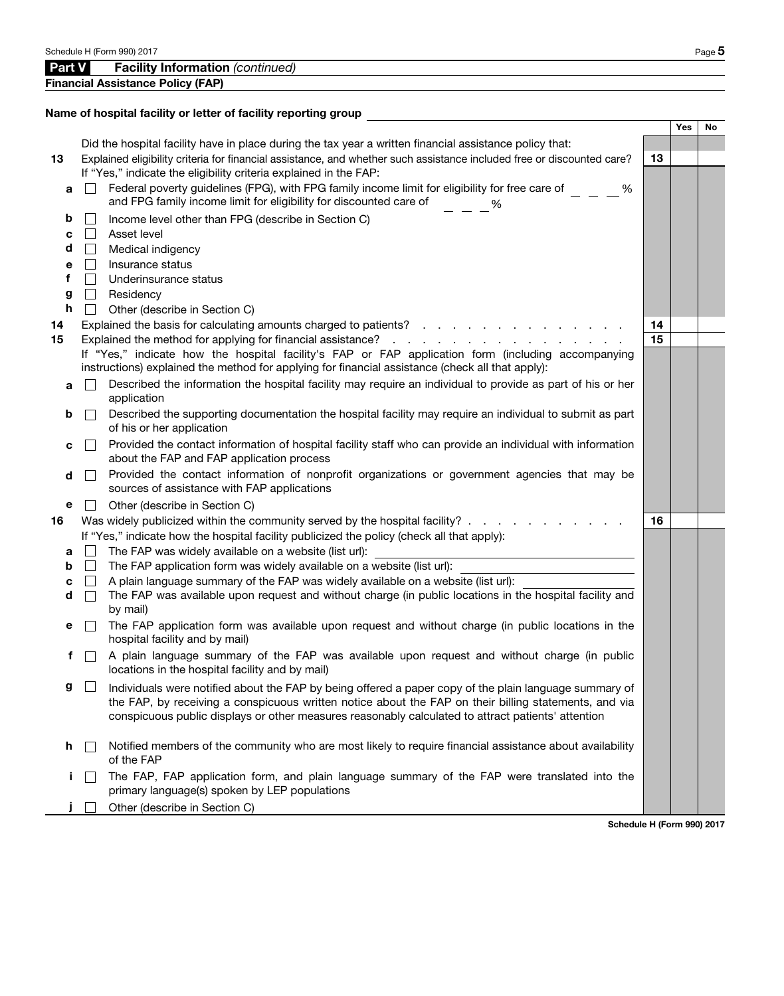|    |                | Financial Assistance Policy (FAP)                                                                                                     |    |     |    |
|----|----------------|---------------------------------------------------------------------------------------------------------------------------------------|----|-----|----|
|    |                |                                                                                                                                       |    |     |    |
|    |                | Name of hospital facility or letter of facility reporting group                                                                       |    | Yes | No |
|    |                | Did the hospital facility have in place during the tax year a written financial assistance policy that:                               |    |     |    |
| 13 |                | Explained eligibility criteria for financial assistance, and whether such assistance included free or discounted care?                | 13 |     |    |
|    |                | If "Yes," indicate the eligibility criteria explained in the FAP:                                                                     |    |     |    |
| a  |                | Federal poverty guidelines (FPG), with FPG family income limit for eligibility for free care of<br>%                                  |    |     |    |
|    |                | and FPG family income limit for eligibility for discounted care of<br>%                                                               |    |     |    |
| b  |                | Income level other than FPG (describe in Section C)                                                                                   |    |     |    |
| c  | $\mathbb{R}^n$ | Asset level                                                                                                                           |    |     |    |
| d  |                | Medical indigency                                                                                                                     |    |     |    |
| е  | $\mathbb{R}^n$ | Insurance status                                                                                                                      |    |     |    |
| f  | $\mathbb{R}^n$ | Underinsurance status                                                                                                                 |    |     |    |
| g  | $\perp$        | Residency                                                                                                                             |    |     |    |
| h  |                | Other (describe in Section C)                                                                                                         |    |     |    |
| 14 |                | Explained the basis for calculating amounts charged to patients?                                                                      | 14 |     |    |
| 15 |                |                                                                                                                                       | 15 |     |    |
|    |                | If "Yes," indicate how the hospital facility's FAP or FAP application form (including accompanying                                    |    |     |    |
|    |                | instructions) explained the method for applying for financial assistance (check all that apply):                                      |    |     |    |
| a  |                | Described the information the hospital facility may require an individual to provide as part of his or her                            |    |     |    |
|    |                | application                                                                                                                           |    |     |    |
| b  | $\mathbb{R}^n$ | Described the supporting documentation the hospital facility may require an individual to submit as part<br>of his or her application |    |     |    |
|    |                | Provided the contact information of hospital facility staff who can provide an individual with information                            |    |     |    |
| c  | $\mathbb{R}^n$ | about the FAP and FAP application process                                                                                             |    |     |    |
| d  | $\sim$         | Provided the contact information of nonprofit organizations or government agencies that may be                                        |    |     |    |
|    |                | sources of assistance with FAP applications                                                                                           |    |     |    |
| е  |                | Other (describe in Section C)                                                                                                         |    |     |    |
| 16 |                | Was widely publicized within the community served by the hospital facility?                                                           | 16 |     |    |
|    |                | If "Yes," indicate how the hospital facility publicized the policy (check all that apply):                                            |    |     |    |
| a  | $\mathbf{I}$   | The FAP was widely available on a website (list url):                                                                                 |    |     |    |
| b  | $\mathbf{1}$   | The FAP application form was widely available on a website (list url):                                                                |    |     |    |
| c  |                | A plain language summary of the FAP was widely available on a website (list url):                                                     |    |     |    |
| d  |                | The FAP was available upon request and without charge (in public locations in the hospital facility and                               |    |     |    |
|    |                | by mail)                                                                                                                              |    |     |    |
| е  |                | The FAP application form was available upon request and without charge (in public locations in the<br>hospital facility and by mail)  |    |     |    |
| f  |                | A plain language summary of the FAP was available upon request and without charge (in public                                          |    |     |    |
|    |                | locations in the hospital facility and by mail)                                                                                       |    |     |    |
| g  | $\Box$         | Individuals were notified about the FAP by being offered a paper copy of the plain language summary of                                |    |     |    |
|    |                | the FAP, by receiving a conspicuous written notice about the FAP on their billing statements, and via                                 |    |     |    |
|    |                | conspicuous public displays or other measures reasonably calculated to attract patients' attention                                    |    |     |    |
|    |                |                                                                                                                                       |    |     |    |
| h. |                | Notified members of the community who are most likely to require financial assistance about availability<br>of the FAP                |    |     |    |
|    |                | The FAP, FAP application form, and plain language summary of the FAP were translated into the                                         |    |     |    |
| L. |                | primary language(s) spoken by LEP populations                                                                                         |    |     |    |
|    |                | Other (describe in Section C)                                                                                                         |    |     |    |
|    |                | Schodule H (Form 000) 20                                                                                                              |    |     |    |

**Facility Information** *(continued)*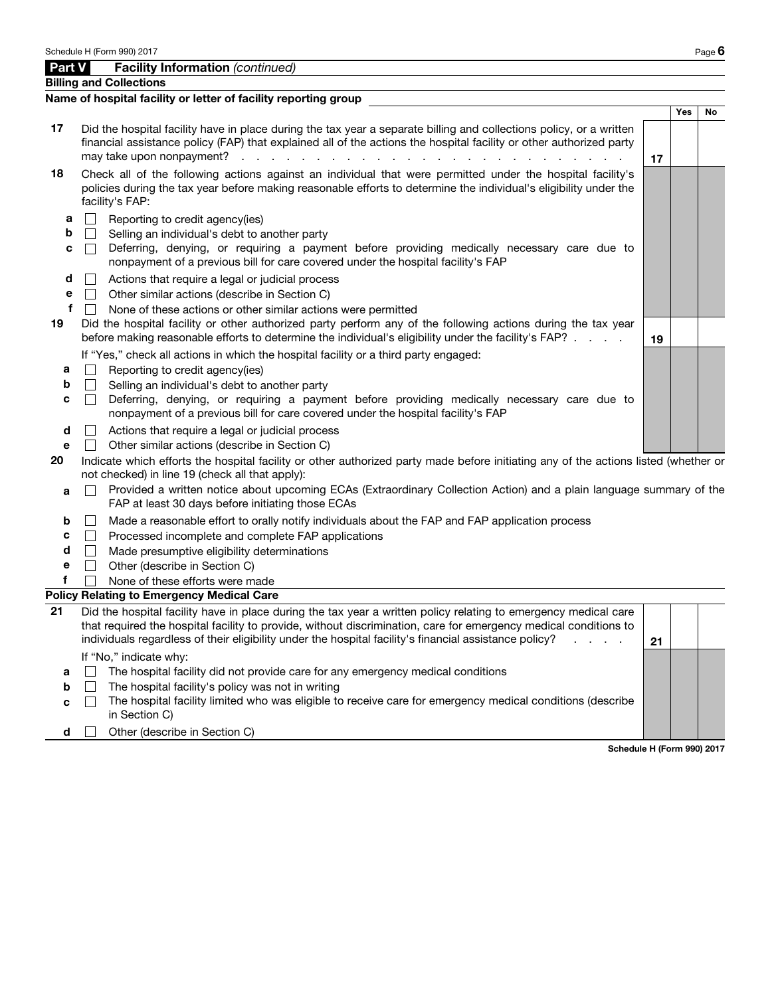Billing and Collections

|                       | Name of hospital facility or letter of facility reporting group                                                                                                                                                                                                                                                                                                                                                                                                                                                            |     |    |
|-----------------------|----------------------------------------------------------------------------------------------------------------------------------------------------------------------------------------------------------------------------------------------------------------------------------------------------------------------------------------------------------------------------------------------------------------------------------------------------------------------------------------------------------------------------|-----|----|
|                       |                                                                                                                                                                                                                                                                                                                                                                                                                                                                                                                            | Yes | No |
| 17                    | Did the hospital facility have in place during the tax year a separate billing and collections policy, or a written<br>financial assistance policy (FAP) that explained all of the actions the hospital facility or other authorized party<br>may take upon nonpayment?<br>$\mathcal{L}^{\mathcal{A}}$ . The contribution of the contribution of the contribution of the contribution of the contribution of the contribution of the contribution of the contribution of the contribution of the contribution of the<br>17 |     |    |
| 18                    | Check all of the following actions against an individual that were permitted under the hospital facility's<br>policies during the tax year before making reasonable efforts to determine the individual's eligibility under the<br>facility's FAP:                                                                                                                                                                                                                                                                         |     |    |
| а<br>b<br>c           | Reporting to credit agency(ies)<br>$\mathbf{L}$<br>Selling an individual's debt to another party<br>$\perp$<br>Deferring, denying, or requiring a payment before providing medically necessary care due to<br>$\perp$<br>nonpayment of a previous bill for care covered under the hospital facility's FAP                                                                                                                                                                                                                  |     |    |
| d<br>е<br>f<br>19     | Actions that require a legal or judicial process<br>Other similar actions (describe in Section C)<br>$\perp$<br>$\Box$<br>None of these actions or other similar actions were permitted<br>Did the hospital facility or other authorized party perform any of the following actions during the tax year<br>before making reasonable efforts to determine the individual's eligibility under the facility's FAP?<br>19                                                                                                      |     |    |
| а<br>b<br>с           | If "Yes," check all actions in which the hospital facility or a third party engaged:<br>$\perp$<br>Reporting to credit agency(ies)<br>Selling an individual's debt to another party<br>$\perp$<br>Deferring, denying, or requiring a payment before providing medically necessary care due to<br>$\Box$<br>nonpayment of a previous bill for care covered under the hospital facility's FAP                                                                                                                                |     |    |
| d<br>е<br>20<br>a     | $\perp$<br>Actions that require a legal or judicial process<br>Other similar actions (describe in Section C)<br>Indicate which efforts the hospital facility or other authorized party made before initiating any of the actions listed (whether or<br>not checked) in line 19 (check all that apply):<br>Provided a written notice about upcoming ECAs (Extraordinary Collection Action) and a plain language summary of the<br>$\mathbb{R}^n$<br>FAP at least 30 days before initiating those ECAs                       |     |    |
| b<br>c<br>d<br>е<br>f | Made a reasonable effort to orally notify individuals about the FAP and FAP application process<br>$\perp$<br>$\perp$<br>Processed incomplete and complete FAP applications<br>Made presumptive eligibility determinations<br>$\Box$<br>$\vert \ \vert$<br>Other (describe in Section C)<br>None of these efforts were made<br><b>Policy Relating to Emergency Medical Care</b>                                                                                                                                            |     |    |
| 21                    | Did the hospital facility have in place during the tax year a written policy relating to emergency medical care<br>that required the hospital facility to provide, without discrimination, care for emergency medical conditions to<br>individuals regardless of their eligibility under the hospital facility's financial assistance policy?<br>21                                                                                                                                                                        |     |    |
| a<br>b<br>c<br>d      | If "No," indicate why:<br>The hospital facility did not provide care for any emergency medical conditions<br>$\Box$<br>$\perp$<br>The hospital facility's policy was not in writing<br>The hospital facility limited who was eligible to receive care for emergency medical conditions (describe<br>$\perp$<br>in Section C)<br>Other (describe in Section C)                                                                                                                                                              |     |    |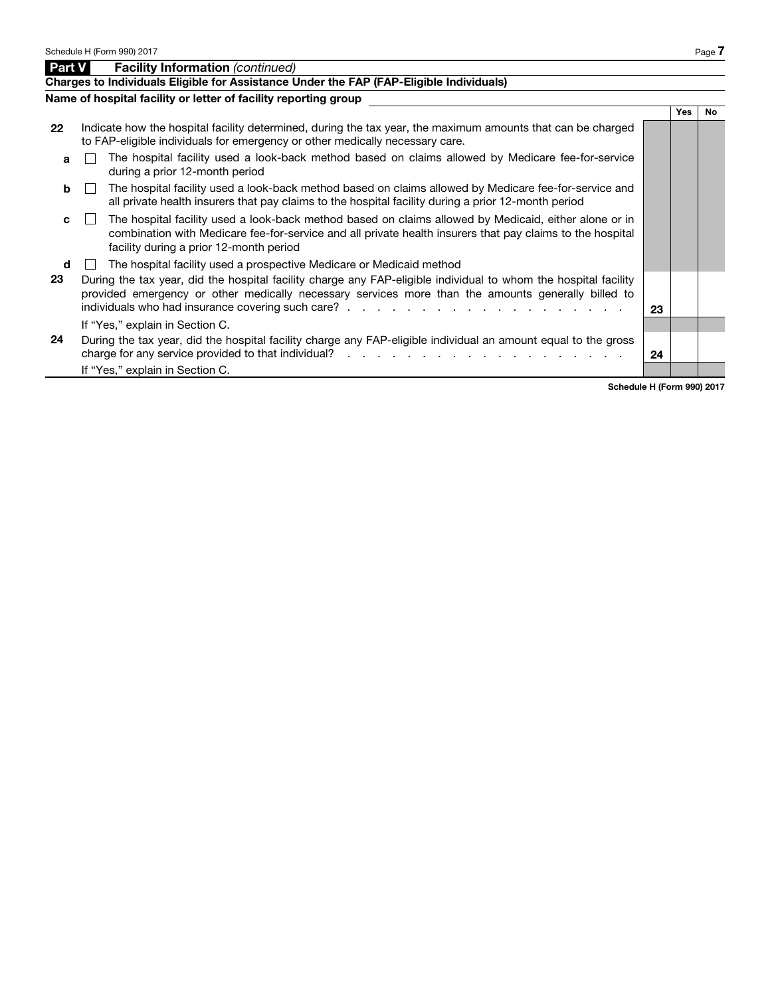|               | Schedule H (Form 990) 2017                                                                                                                                                                                                  |                                                                                                                                                                                                                                                               |    |     | Page 7    |
|---------------|-----------------------------------------------------------------------------------------------------------------------------------------------------------------------------------------------------------------------------|---------------------------------------------------------------------------------------------------------------------------------------------------------------------------------------------------------------------------------------------------------------|----|-----|-----------|
| <b>Part V</b> |                                                                                                                                                                                                                             | <b>Facility Information (continued)</b>                                                                                                                                                                                                                       |    |     |           |
|               |                                                                                                                                                                                                                             | Charges to Individuals Eligible for Assistance Under the FAP (FAP-Eligible Individuals)                                                                                                                                                                       |    |     |           |
|               |                                                                                                                                                                                                                             | Name of hospital facility or letter of facility reporting group                                                                                                                                                                                               |    |     |           |
|               |                                                                                                                                                                                                                             |                                                                                                                                                                                                                                                               |    | Yes | <b>No</b> |
| 22            |                                                                                                                                                                                                                             | Indicate how the hospital facility determined, during the tax year, the maximum amounts that can be charged<br>to FAP-eligible individuals for emergency or other medically necessary care.                                                                   |    |     |           |
| a             |                                                                                                                                                                                                                             | The hospital facility used a look-back method based on claims allowed by Medicare fee-for-service<br>during a prior 12-month period                                                                                                                           |    |     |           |
| b             |                                                                                                                                                                                                                             | The hospital facility used a look-back method based on claims allowed by Medicare fee-for-service and<br>all private health insurers that pay claims to the hospital facility during a prior 12-month period                                                  |    |     |           |
| c             |                                                                                                                                                                                                                             | The hospital facility used a look-back method based on claims allowed by Medicaid, either alone or in<br>combination with Medicare fee-for-service and all private health insurers that pay claims to the hospital<br>facility during a prior 12-month period |    |     |           |
| d             |                                                                                                                                                                                                                             | The hospital facility used a prospective Medicare or Medicaid method                                                                                                                                                                                          |    |     |           |
| 23            | During the tax year, did the hospital facility charge any FAP-eligible individual to whom the hospital facility<br>provided emergency or other medically necessary services more than the amounts generally billed to<br>23 |                                                                                                                                                                                                                                                               |    |     |           |
|               |                                                                                                                                                                                                                             | If "Yes," explain in Section C.                                                                                                                                                                                                                               |    |     |           |
| 24            |                                                                                                                                                                                                                             | During the tax year, did the hospital facility charge any FAP-eligible individual an amount equal to the gross                                                                                                                                                | 24 |     |           |
|               |                                                                                                                                                                                                                             | If "Yes," explain in Section C.                                                                                                                                                                                                                               |    |     |           |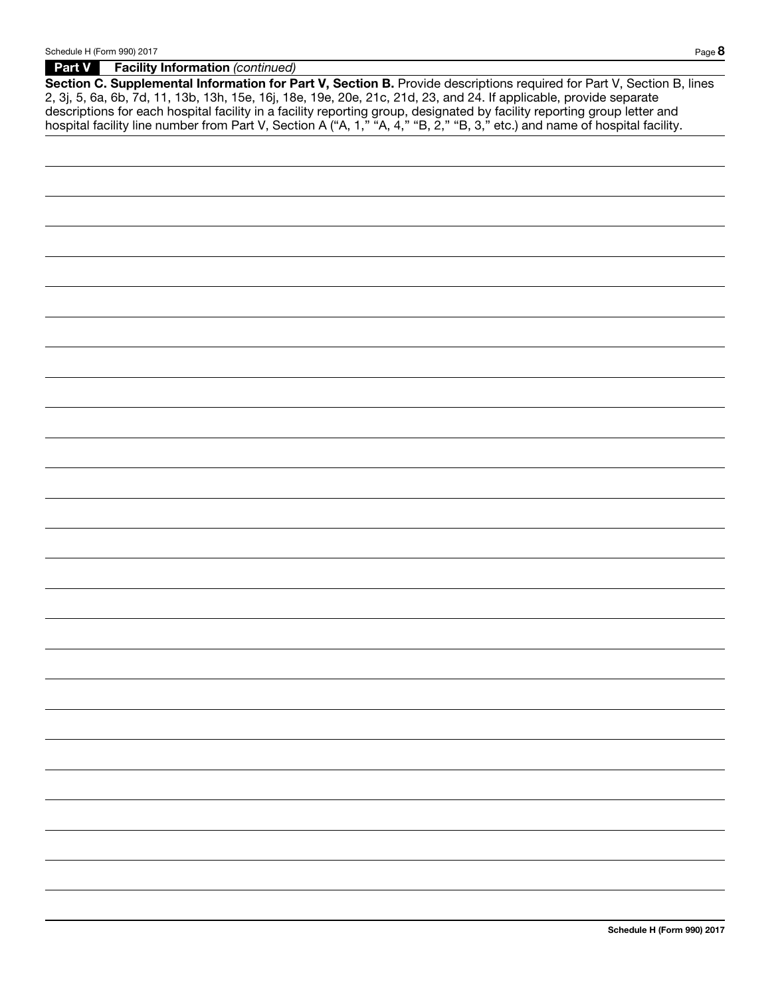Part V Facility Information *(continued)*

Section C. Supplemental Information for Part V, Section B. Provide descriptions required for Part V, Section B, lines 2, 3j, 5, 6a, 6b, 7d, 11, 13b, 13h, 15e, 16j, 18e, 19e, 20e, 21c, 21d, 23, and 24. If applicable, provide separate descriptions for each hospital facility in a facility reporting group, designated by facility reporting group letter and hospital facility line number from Part V, Section A ("A, 1," "A, 4," "B, 2," "B, 3," etc.) and name of hospital facility.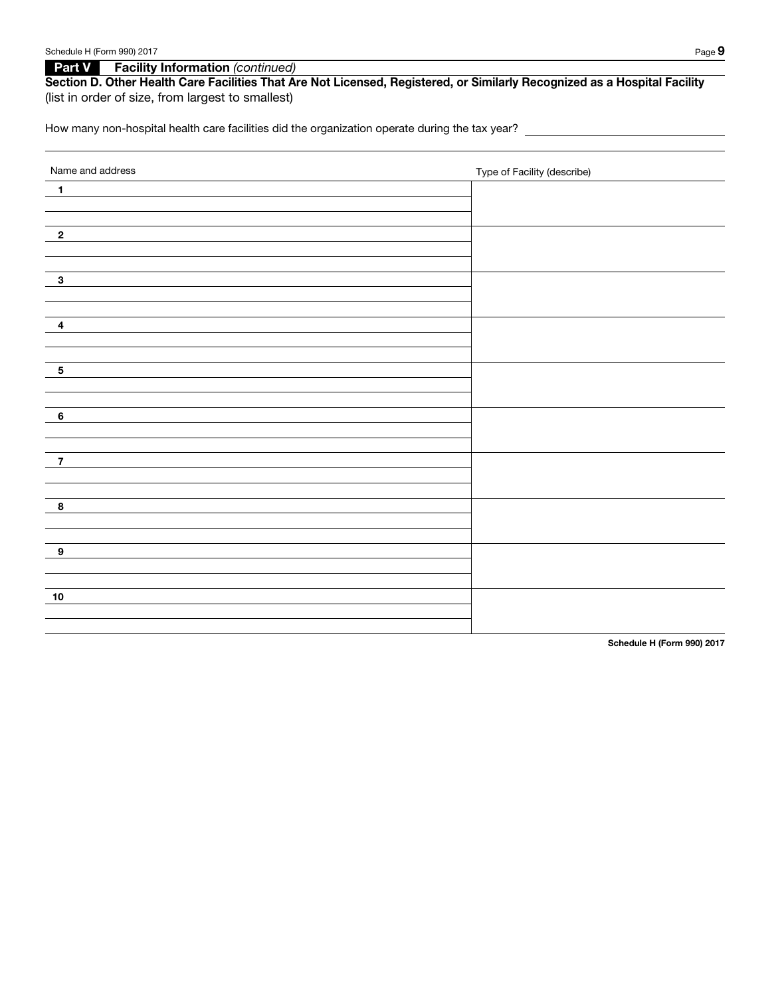**Part V Facility Information** *(continued)* 

## Section D. Other Health Care Facilities That Are Not Licensed, Registered, or Similarly Recognized as a Hospital Facility (list in order of size, from largest to smallest)

How many non-hospital health care facilities did the organization operate during the tax year?

| $\blacktriangleleft$<br>$\overline{\mathbf{2}}$<br>$\mathbf{3}$<br>$\overline{\mathbf{4}}$<br>$\sqrt{5}$<br>$6\phantom{a}$<br>$\overline{7}$<br>$\bf8$<br>$\boldsymbol{9}$<br>$10$ | Name and address | Type of Facility (describe) |
|------------------------------------------------------------------------------------------------------------------------------------------------------------------------------------|------------------|-----------------------------|
|                                                                                                                                                                                    |                  |                             |
|                                                                                                                                                                                    |                  |                             |
|                                                                                                                                                                                    |                  |                             |
|                                                                                                                                                                                    |                  |                             |
|                                                                                                                                                                                    |                  |                             |
|                                                                                                                                                                                    |                  |                             |
|                                                                                                                                                                                    |                  |                             |
|                                                                                                                                                                                    |                  |                             |
|                                                                                                                                                                                    |                  |                             |
|                                                                                                                                                                                    |                  |                             |
|                                                                                                                                                                                    |                  |                             |
|                                                                                                                                                                                    |                  |                             |
|                                                                                                                                                                                    |                  |                             |
|                                                                                                                                                                                    |                  |                             |
|                                                                                                                                                                                    |                  |                             |
|                                                                                                                                                                                    |                  |                             |
|                                                                                                                                                                                    |                  |                             |
|                                                                                                                                                                                    |                  |                             |
|                                                                                                                                                                                    |                  |                             |
|                                                                                                                                                                                    |                  |                             |
|                                                                                                                                                                                    |                  |                             |
|                                                                                                                                                                                    |                  |                             |
|                                                                                                                                                                                    |                  |                             |
|                                                                                                                                                                                    |                  |                             |
|                                                                                                                                                                                    |                  |                             |
|                                                                                                                                                                                    |                  |                             |